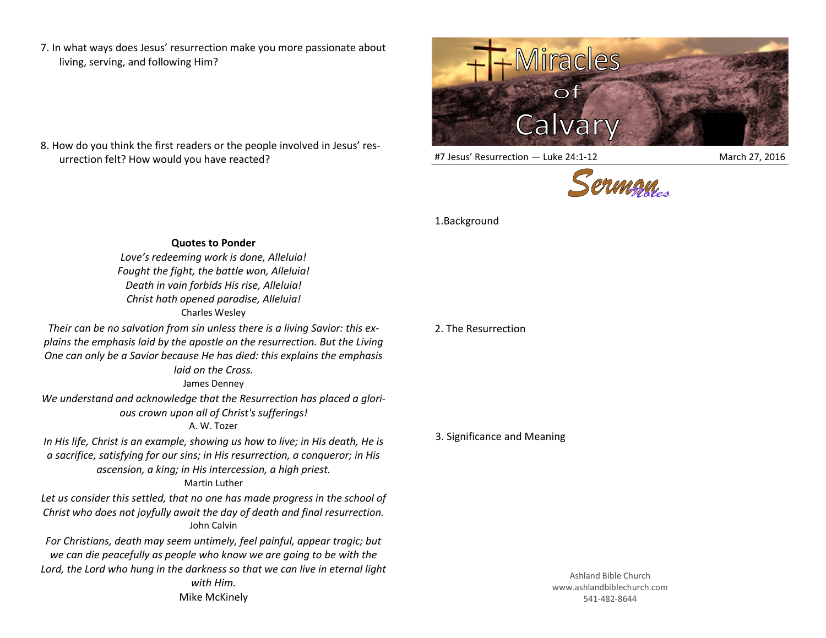7. In what ways does Jesus' resurrection make you more passionate about living, serving, and following Him?

8. How do you think the first readers or the people involved in Jesus' resurrection felt? How would you have reacted?



#7 Jesus' Resurrection — Luke 24:1-12 March 27, 2016



## 1.Background

**Quotes to Ponder**

*Love's redeeming work is done, Alleluia! Fought the fight, the battle won, Alleluia! Death in vain forbids His rise, Alleluia! Christ hath opened paradise, Alleluia!* Charles Wesley

*Their can be no salvation from sin unless there is a living Savior: this explains the emphasis laid by the apostle on the resurrection. But the Living One can only be a Savior because He has died: this explains the emphasis* 

*laid on the Cross.*

James Denney

*We understand and acknowledge that the Resurrection has placed a glorious crown upon all of Christ's sufferings!*

## A. W. Tozer

*In His life, Christ is an example, showing us how to live; in His death, He is a sacrifice, satisfying for our sins; in His resurrection, a conqueror; in His ascension, a king; in His intercession, a high priest.* Martin Luther

*Let us consider this settled, that no one has made progress in the school of Christ who does not joyfully await the day of death and final resurrection.* John Calvin

*For Christians, death may seem untimely, feel painful, appear tragic; but we can die peacefully as people who know we are going to be with the Lord, the Lord who hung in the darkness so that we can live in eternal light with Him.*  Mike McKinely

## 2. The Resurrection

## 3. Significance and Meaning

Ashland Bible Church www.ashlandbiblechurch.com 541-482-8644